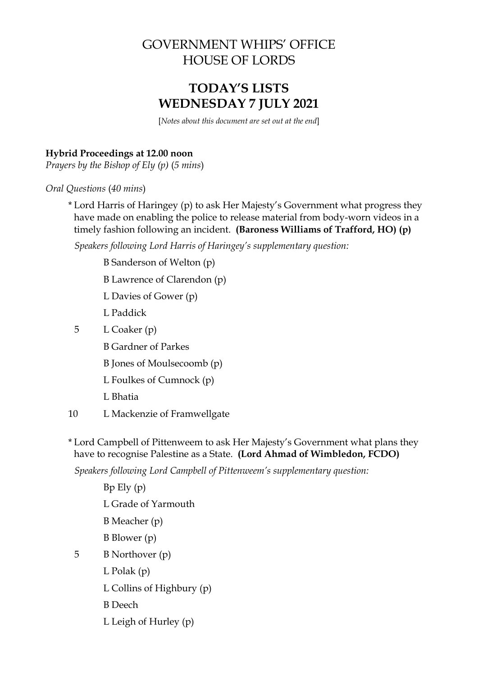## GOVERNMENT WHIPS' OFFICE HOUSE OF LORDS

# **TODAY'S LISTS WEDNESDAY 7 JULY 2021**

[*Notes about this document are set out at the end*]

## **Hybrid Proceedings at 12.00 noon**

*Prayers by the Bishop of Ely (p)* (*5 mins*)

*Oral Questions* (*40 mins*)

\* Lord Harris of Haringey (p) to ask Her Majesty's Government what progress they have made on enabling the police to release material from body-worn videos in a timely fashion following an incident. **(Baroness Williams of Trafford, HO) (p)**

*Speakers following Lord Harris of Haringey's supplementary question:*

- B Sanderson of Welton (p)
- B Lawrence of Clarendon (p)
- L Davies of Gower (p)
- L Paddick
- 5 L Coaker (p)
	- B Gardner of Parkes
	- B Jones of Moulsecoomb (p)
	- L Foulkes of Cumnock (p)
	- L Bhatia
- 10 L Mackenzie of Framwellgate
- \* Lord Campbell of Pittenweem to ask Her Majesty's Government what plans they have to recognise Palestine as a State. **(Lord Ahmad of Wimbledon, FCDO)**

*Speakers following Lord Campbell of Pittenweem's supplementary question:*

Bp Ely (p) L Grade of Yarmouth B Meacher (p) B Blower (p) 5 B Northover (p) L Polak (p) L Collins of Highbury (p) B Deech L Leigh of Hurley (p)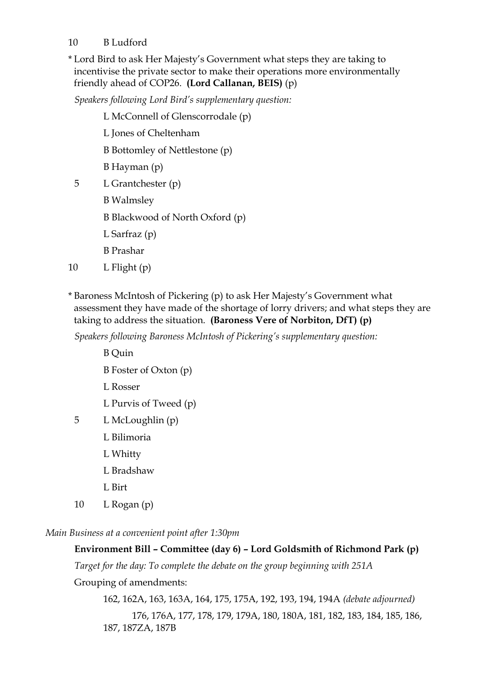## 10 B Ludford

\* Lord Bird to ask Her Majesty's Government what steps they are taking to incentivise the private sector to make their operations more environmentally friendly ahead of COP26. **(Lord Callanan, BEIS)** (p)

*Speakers following Lord Bird's supplementary question:*

- L McConnell of Glenscorrodale (p)
- L Jones of Cheltenham

B Bottomley of Nettlestone (p)

- B Hayman (p)
- 5 L Grantchester (p)
	- B Walmsley

B Blackwood of North Oxford (p)

- L Sarfraz (p)
- B Prashar
- 10  $L$  Flight (p)
- \* Baroness McIntosh of Pickering (p) to ask Her Majesty's Government what assessment they have made of the shortage of lorry drivers; and what steps they are taking to address the situation. **(Baroness Vere of Norbiton, DfT) (p)**

*Speakers following Baroness McIntosh of Pickering's supplementary question:*

- B Quin
- B Foster of Oxton (p)
- L Rosser
- L Purvis of Tweed (p)
- 5 L McLoughlin (p)
	- L Bilimoria
	- L Whitty
	- L Bradshaw
	- L Birt
- 10  $L$  Rogan (p)

*Main Business at a convenient point after 1:30pm*

## **Environment Bill – Committee (day 6) – Lord Goldsmith of Richmond Park (p)**

*Target for the day: To complete the debate on the group beginning with 251A*

Grouping of amendments:

162, 162A, 163, 163A, 164, 175, 175A, 192, 193, 194, 194A *(debate adjourned)* 176, 176A, 177, 178, 179, 179A, 180, 180A, 181, 182, 183, 184, 185, 186, 187, 187ZA, 187B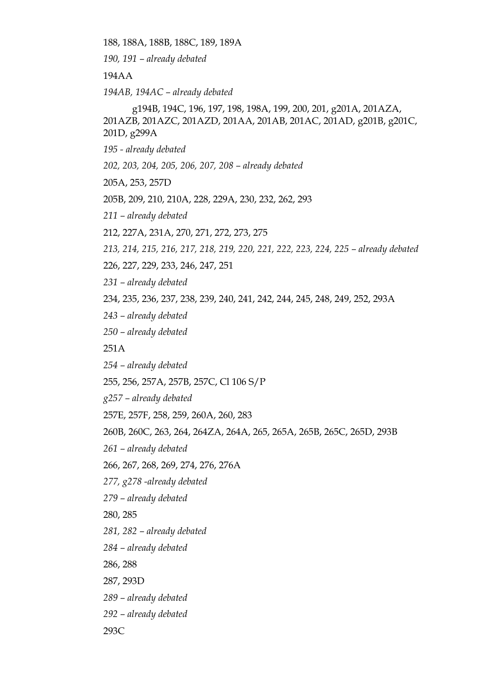188, 188A, 188B, 188C, 189, 189A

*190, 191 – already debated*

194AA

*194AB, 194AC – already debated* 

g194B, 194C, 196, 197, 198, 198A, 199, 200, 201, g201A, 201AZA, 201AZB, 201AZC, 201AZD, 201AA, 201AB, 201AC, 201AD, g201B, g201C, 201D, g299A

*195 - already debated*

*202, 203, 204, 205, 206, 207, 208 – already debated*

205A, 253, 257D

205B, 209, 210, 210A, 228, 229A, 230, 232, 262, 293

*211 – already debated*

212, 227A, 231A, 270, 271, 272, 273, 275

*213, 214, 215, 216, 217, 218, 219, 220, 221, 222, 223, 224, 225 – already debated*

226, 227, 229, 233, 246, 247, 251

*231 – already debated* 

234, 235, 236, 237, 238, 239, 240, 241, 242, 244, 245, 248, 249, 252, 293A

*243 – already debated*

*250 – already debated*

251A

*254 – already debated* 

255, 256, 257A, 257B, 257C, Cl 106 S/P

*g257 – already debated*

257E, 257F, 258, 259, 260A, 260, 283

260B, 260C, 263, 264, 264ZA, 264A, 265, 265A, 265B, 265C, 265D, 293B

*261 – already debated*

266, 267, 268, 269, 274, 276, 276A

*277, g278 -already debated*

*279 – already debated*

280, 285

*281, 282 – already debated*

*284 – already debated*

286, 288

287, 293D

*289 – already debated*

*292 – already debated*

293C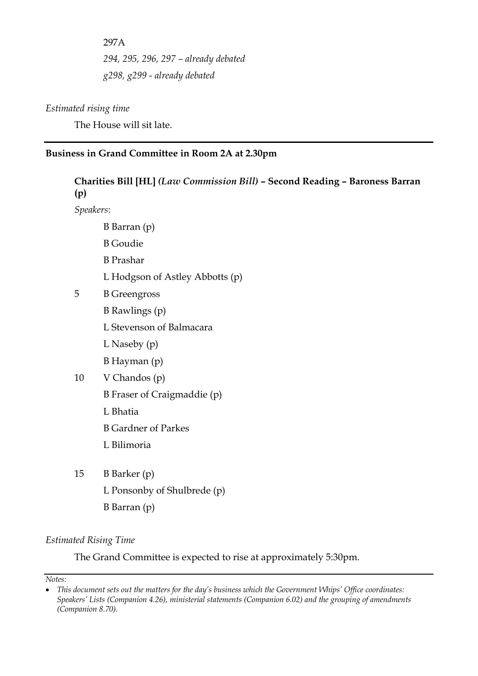297A *294, 295, 296, 297 – already debated g298, g299 - already debated*

#### *Estimated rising time*

The House will sit late.

### **Business in Grand Committee in Room 2A at 2.30pm**

## **Charities Bill [HL]** *(Law Commission Bill)* **– Second Reading – Baroness Barran (p)**

*Speakers*:

- B Barran (p)
- B Goudie
- B Prashar
- L Hodgson of Astley Abbotts (p)
- 5 B Greengross
	- B Rawlings (p)
	- L Stevenson of Balmacara
	- L Naseby (p)
	- B Hayman (p)
- 10 V Chandos (p)
	- B Fraser of Craigmaddie (p)
	- L Bhatia
	- B Gardner of Parkes
	- L Bilimoria
- 15 B Barker (p) L Ponsonby of Shulbrede (p) B Barran (p)

#### *Estimated Rising Time*

The Grand Committee is expected to rise at approximately 5:30pm.

*Notes:*

<sup>•</sup> *This document sets out the matters for the day's business which the Government Whips' Office coordinates: Speakers' Lists (Companion 4.26), ministerial statements (Companion 6.02) and the grouping of amendments (Companion 8.70).*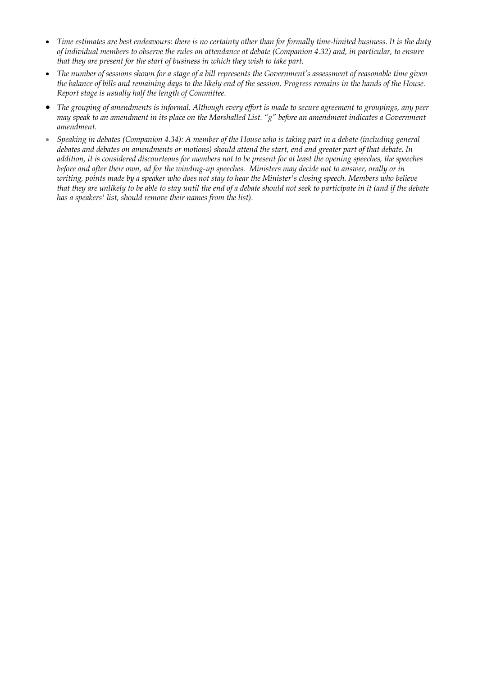- *Time estimates are best endeavours: there is no certainty other than for formally time-limited business. It is the duty of individual members to observe the rules on attendance at debate (Companion 4.32) and, in particular, to ensure that they are present for the start of business in which they wish to take part.*
- The number of sessions shown for a stage of a bill represents the Government's assessment of reasonable time given *the balance of bills and remaining days to the likely end of the session. Progress remains in the hands of the House. Report stage is usually half the length of Committee.*
- *The grouping of amendments is informal. Although every effort is made to secure agreement to groupings, any peer may speak to an amendment in its place on the Marshalled List. "g" before an amendment indicates a Government amendment.*
- *Speaking in debates (Companion 4.34): A member of the House who is taking part in a debate (including general debates and debates on amendments or motions) should attend the start, end and greater part of that debate. In addition, it is considered discourteous for members not to be present for at least the opening speeches, the speeches before and after their own, ad for the winding-up speeches. Ministers may decide not to answer, orally or in writing, points made by a speaker who does not stay to hear the Minister's closing speech. Members who believe that they are unlikely to be able to stay until the end of a debate should not seek to participate in it (and if the debate has a speakers' list, should remove their names from the list).*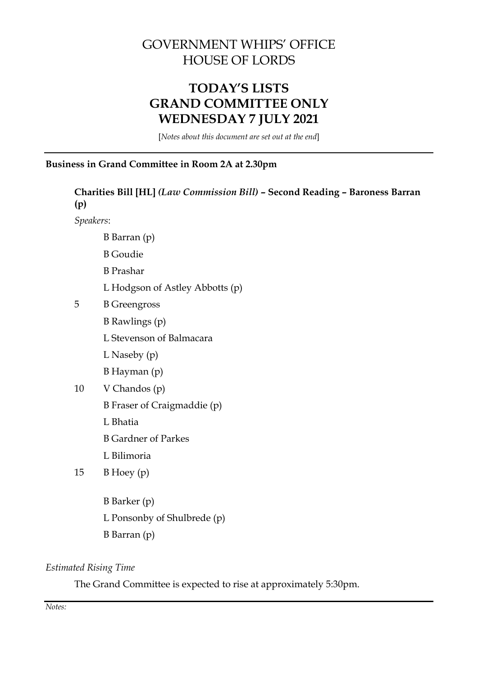# GOVERNMENT WHIPS' OFFICE HOUSE OF LORDS

# **TODAY'S LISTS GRAND COMMITTEE ONLY WEDNESDAY 7 JULY 2021**

[*Notes about this document are set out at the end*]

## **Business in Grand Committee in Room 2A at 2.30pm**

| Charities Bill [HL] (Law Commission Bill) - Second Reading - Baroness Barran<br>(p) |                                 |  |  |  |
|-------------------------------------------------------------------------------------|---------------------------------|--|--|--|
| Speakers:                                                                           |                                 |  |  |  |
|                                                                                     | B Barran (p)                    |  |  |  |
|                                                                                     | <b>B</b> Goudie                 |  |  |  |
|                                                                                     | <b>B</b> Prashar                |  |  |  |
|                                                                                     | L Hodgson of Astley Abbotts (p) |  |  |  |
| 5                                                                                   | <b>B</b> Greengross             |  |  |  |
|                                                                                     | <b>B</b> Rawlings (p)           |  |  |  |
|                                                                                     | L Stevenson of Balmacara        |  |  |  |
|                                                                                     | L Naseby $(p)$                  |  |  |  |
|                                                                                     | B Hayman (p)                    |  |  |  |
| 10                                                                                  | V Chandos (p)                   |  |  |  |
|                                                                                     | B Fraser of Craigmaddie (p)     |  |  |  |
|                                                                                     | L Bhatia                        |  |  |  |
|                                                                                     | <b>B</b> Gardner of Parkes      |  |  |  |
|                                                                                     | L Bilimoria                     |  |  |  |
| 15                                                                                  | $B$ Hoey $(p)$                  |  |  |  |
|                                                                                     |                                 |  |  |  |
|                                                                                     | B Barker (p)                    |  |  |  |
|                                                                                     | L Ponsonby of Shulbrede (p)     |  |  |  |
|                                                                                     | B Barran (p)                    |  |  |  |

### *Estimated Rising Time*

The Grand Committee is expected to rise at approximately 5:30pm.

*Notes:*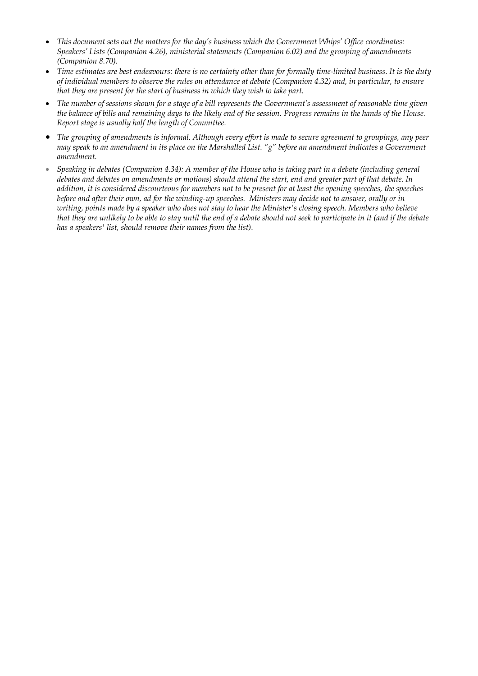- *This document sets out the matters for the day's business which the Government Whips' Office coordinates: Speakers' Lists (Companion 4.26), ministerial statements (Companion 6.02) and the grouping of amendments (Companion 8.70).*
- *Time estimates are best endeavours: there is no certainty other than for formally time-limited business. It is the duty of individual members to observe the rules on attendance at debate (Companion 4.32) and, in particular, to ensure that they are present for the start of business in which they wish to take part.*
- *The number of sessions shown for a stage of a bill represents the Government's assessment of reasonable time given the balance of bills and remaining days to the likely end of the session. Progress remains in the hands of the House. Report stage is usually half the length of Committee.*
- *The grouping of amendments is informal. Although every effort is made to secure agreement to groupings, any peer may speak to an amendment in its place on the Marshalled List. "g" before an amendment indicates a Government amendment.*
- *Speaking in debates (Companion 4.34): A member of the House who is taking part in a debate (including general debates and debates on amendments or motions) should attend the start, end and greater part of that debate. In addition, it is considered discourteous for members not to be present for at least the opening speeches, the speeches before and after their own, ad for the winding-up speeches. Ministers may decide not to answer, orally or in writing, points made by a speaker who does not stay to hear the Minister's closing speech. Members who believe that they are unlikely to be able to stay until the end of a debate should not seek to participate in it (and if the debate has a speakers' list, should remove their names from the list).*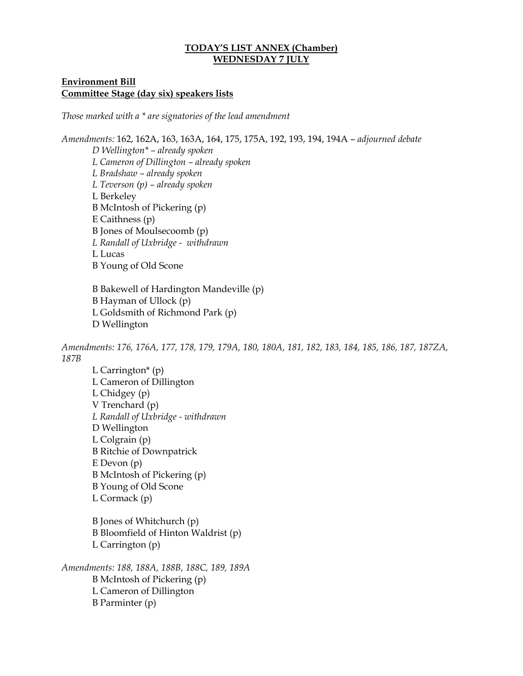#### **TODAY'S LIST ANNEX (Chamber) WEDNESDAY 7 JULY**

#### **Environment Bill Committee Stage (day six) speakers lists**

*Those marked with a \* are signatories of the lead amendment*

*Amendments:* 162, 162A, 163, 163A, 164, 175, 175A, 192, 193, 194, 194A – *adjourned debate D Wellington\* – already spoken L Cameron of Dillington – already spoken L Bradshaw – already spoken L Teverson (p) – already spoken*  L Berkeley B McIntosh of Pickering (p) E Caithness (p) B Jones of Moulsecoomb (p) *L Randall of Uxbridge - withdrawn* L Lucas B Young of Old Scone

B Bakewell of Hardington Mandeville (p) B Hayman of Ullock (p) L Goldsmith of Richmond Park (p) D Wellington

*Amendments: 176, 176A, 177, 178, 179, 179A, 180, 180A, 181, 182, 183, 184, 185, 186, 187, 187ZA, 187B*

L Carrington $*(p)$ L Cameron of Dillington L Chidgey (p) V Trenchard (p) *L Randall of Uxbridge - withdrawn* D Wellington L Colgrain (p) B Ritchie of Downpatrick E Devon (p) B McIntosh of Pickering (p) B Young of Old Scone L Cormack (p)

B Jones of Whitchurch (p) B Bloomfield of Hinton Waldrist (p) L Carrington (p)

*Amendments: 188, 188A, 188B, 188C, 189, 189A* B McIntosh of Pickering (p) L Cameron of Dillington B Parminter (p)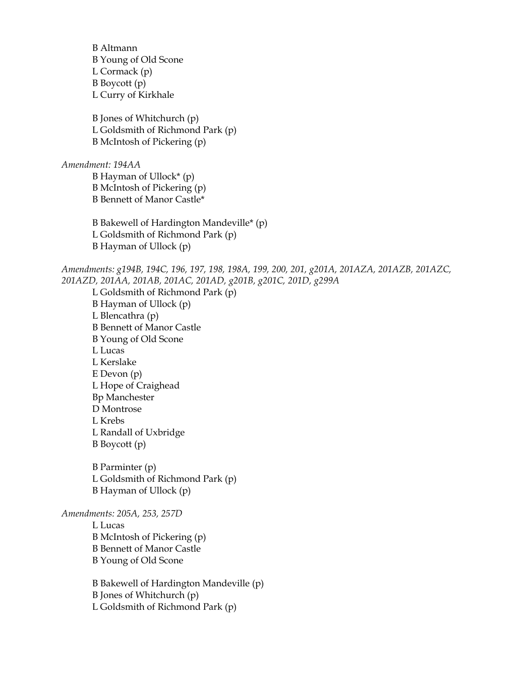B Altmann B Young of Old Scone L Cormack (p) B Boycott (p) L Curry of Kirkhale B Jones of Whitchurch (p) L Goldsmith of Richmond Park (p) B McIntosh of Pickering (p) *Amendment: 194AA* B Hayman of Ullock\* (p) B McIntosh of Pickering (p) B Bennett of Manor Castle\* B Bakewell of Hardington Mandeville\* (p) L Goldsmith of Richmond Park (p) B Hayman of Ullock (p) *Amendments: g194B, 194C, 196, 197, 198, 198A, 199, 200, 201, g201A, 201AZA, 201AZB, 201AZC, 201AZD, 201AA, 201AB, 201AC, 201AD, g201B, g201C, 201D, g299A* L Goldsmith of Richmond Park (p) B Hayman of Ullock (p) L Blencathra (p) B Bennett of Manor Castle B Young of Old Scone L Lucas L Kerslake E Devon (p) L Hope of Craighead Bp Manchester D Montrose L Krebs L Randall of Uxbridge B Boycott (p) B Parminter (p) L Goldsmith of Richmond Park (p) B Hayman of Ullock (p) *Amendments: 205A, 253, 257D* L Lucas B McIntosh of Pickering (p) B Bennett of Manor Castle B Young of Old Scone B Bakewell of Hardington Mandeville (p) B Jones of Whitchurch (p) L Goldsmith of Richmond Park (p)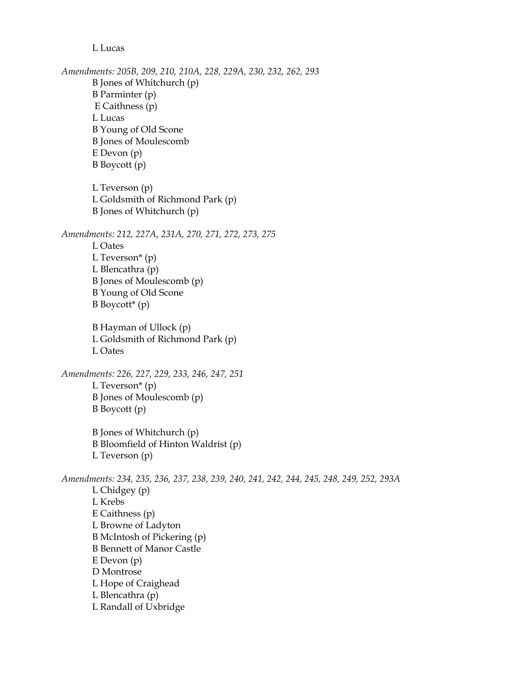L Lucas

*Amendments: 205B, 209, 210, 210A, 228, 229A, 230, 232, 262, 293* B Jones of Whitchurch (p) B Parminter (p) E Caithness (p) L Lucas B Young of Old Scone B Jones of Moulescomb E Devon (p) B Boycott (p) L Teverson (p) L Goldsmith of Richmond Park (p) B Jones of Whitchurch (p) *Amendments: 212, 227A, 231A, 270, 271, 272, 273, 275* L Oates L Teverson\* (p) L Blencathra (p) B Jones of Moulescomb (p) B Young of Old Scone  $B$  Boycott<sup>\*</sup> (p) B Hayman of Ullock (p) L Goldsmith of Richmond Park (p) L Oates *Amendments: 226, 227, 229, 233, 246, 247, 251* L Teverson\* (p) B Jones of Moulescomb (p) B Boycott (p) B Jones of Whitchurch (p) B Bloomfield of Hinton Waldrist (p) L Teverson (p) *Amendments: 234, 235, 236, 237, 238, 239, 240, 241, 242, 244, 245, 248, 249, 252, 293A* L Chidgey (p) L Krebs E Caithness (p) L Browne of Ladyton B McIntosh of Pickering (p) B Bennett of Manor Castle E Devon (p) D Montrose L Hope of Craighead L Blencathra (p) L Randall of Uxbridge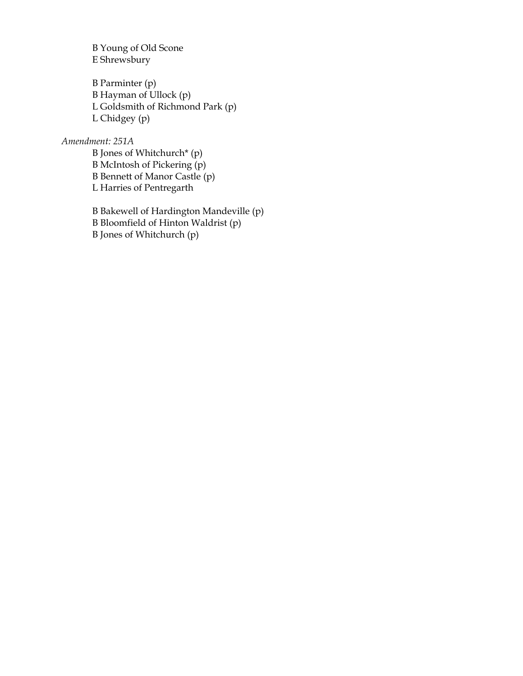B Young of Old Scone E Shrewsbury

B Parminter (p) B Hayman of Ullock (p) L Goldsmith of Richmond Park (p) L Chidgey (p)

### *Amendment: 251A*

B Jones of Whitchurch\* (p) B McIntosh of Pickering (p) B Bennett of Manor Castle (p) L Harries of Pentregarth

B Bakewell of Hardington Mandeville (p) B Bloomfield of Hinton Waldrist (p) B Jones of Whitchurch (p)